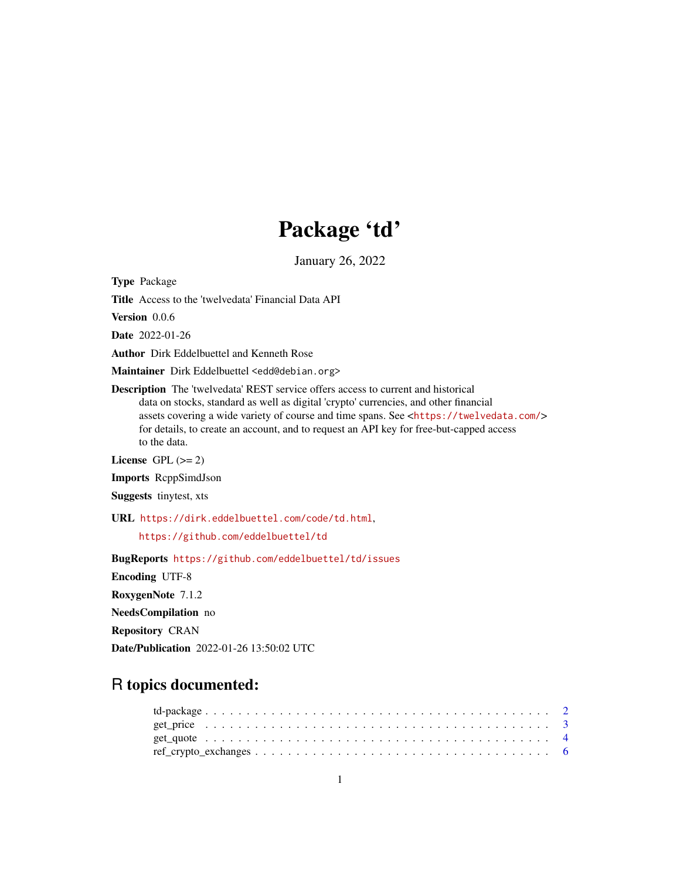# Package 'td'

January 26, 2022

Type Package

Title Access to the 'twelvedata' Financial Data API

Version 0.0.6

Date 2022-01-26

Author Dirk Eddelbuettel and Kenneth Rose

Maintainer Dirk Eddelbuettel <edd@debian.org>

Description The 'twelvedata' REST service offers access to current and historical data on stocks, standard as well as digital 'crypto' currencies, and other financial assets covering a wide variety of course and time spans. See <<https://twelvedata.com/>> for details, to create an account, and to request an API key for free-but-capped access to the data.

License GPL  $(>= 2)$ 

Imports RcppSimdJson

Suggests tinytest, xts

URL <https://dirk.eddelbuettel.com/code/td.html>,

<https://github.com/eddelbuettel/td>

BugReports <https://github.com/eddelbuettel/td/issues> Encoding UTF-8 RoxygenNote 7.1.2 NeedsCompilation no Repository CRAN Date/Publication 2022-01-26 13:50:02 UTC

# R topics documented:

| $ref_crypto\_exchanges \ldots \ldots \ldots \ldots \ldots \ldots \ldots \ldots \ldots \ldots \ldots \ldots \ldots 6$ |  |  |  |  |  |  |  |  |  |  |  |  |  |  |  |  |  |  |
|----------------------------------------------------------------------------------------------------------------------|--|--|--|--|--|--|--|--|--|--|--|--|--|--|--|--|--|--|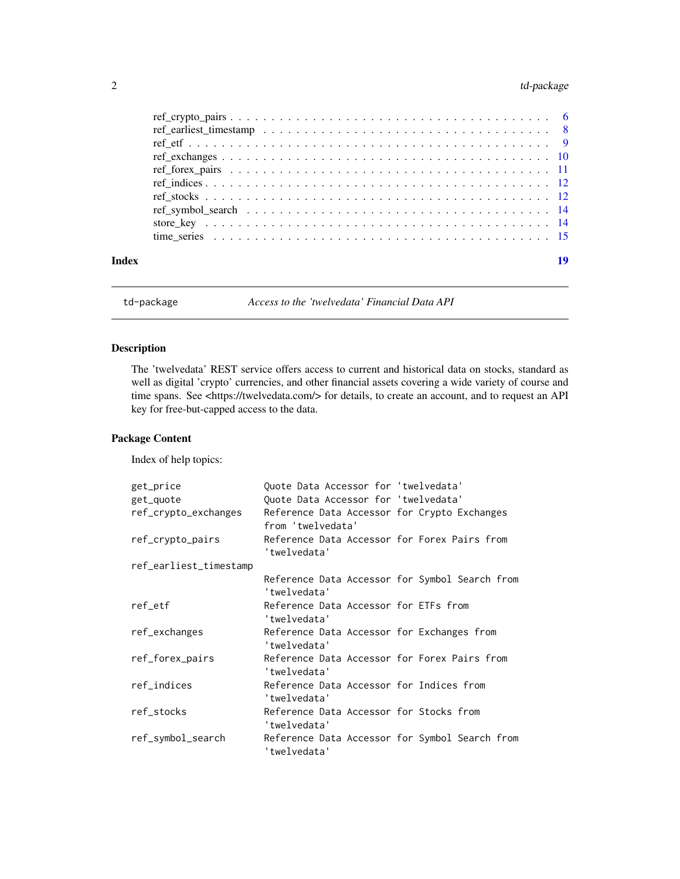# <span id="page-1-0"></span>2 td-package

|       | $ref_crypto\_pairs$ 6 |    |
|-------|-----------------------|----|
|       |                       |    |
|       |                       |    |
|       |                       |    |
|       |                       |    |
|       |                       |    |
|       |                       |    |
|       |                       |    |
|       |                       |    |
|       |                       |    |
|       |                       |    |
| Index |                       | 19 |

td-package *Access to the 'twelvedata' Financial Data API*

# Description

The 'twelvedata' REST service offers access to current and historical data on stocks, standard as well as digital 'crypto' currencies, and other financial assets covering a wide variety of course and time spans. See <https://twelvedata.com/> for details, to create an account, and to request an API key for free-but-capped access to the data.

# Package Content

Index of help topics:

| get_price              | Quote Data Accessor for 'twelvedata'                              |  |
|------------------------|-------------------------------------------------------------------|--|
| get_quote              | Quote Data Accessor for 'twelvedata'                              |  |
| ref_crypto_exchanges   | Reference Data Accessor for Crypto Exchanges<br>from 'twelvedata' |  |
| ref_crypto_pairs       | Reference Data Accessor for Forex Pairs from<br>'twelvedata'      |  |
| ref_earliest_timestamp |                                                                   |  |
|                        | Reference Data Accessor for Symbol Search from<br>'twelvedata'    |  |
| ref_etf                | Reference Data Accessor for ETFs from<br>'twelvedata'             |  |
| ref_exchanges          | Reference Data Accessor for Exchanges from<br>'twelvedata'        |  |
| ref_forex_pairs        | Reference Data Accessor for Forex Pairs from<br>'twelvedata'      |  |
| ref_indices            | Reference Data Accessor for Indices from<br>'twelvedata'          |  |
| ref_stocks             | Reference Data Accessor for Stocks from<br>'twelvedata'           |  |
| ref_symbol_search      | Reference Data Accessor for Symbol Search from<br>'twelvedata'    |  |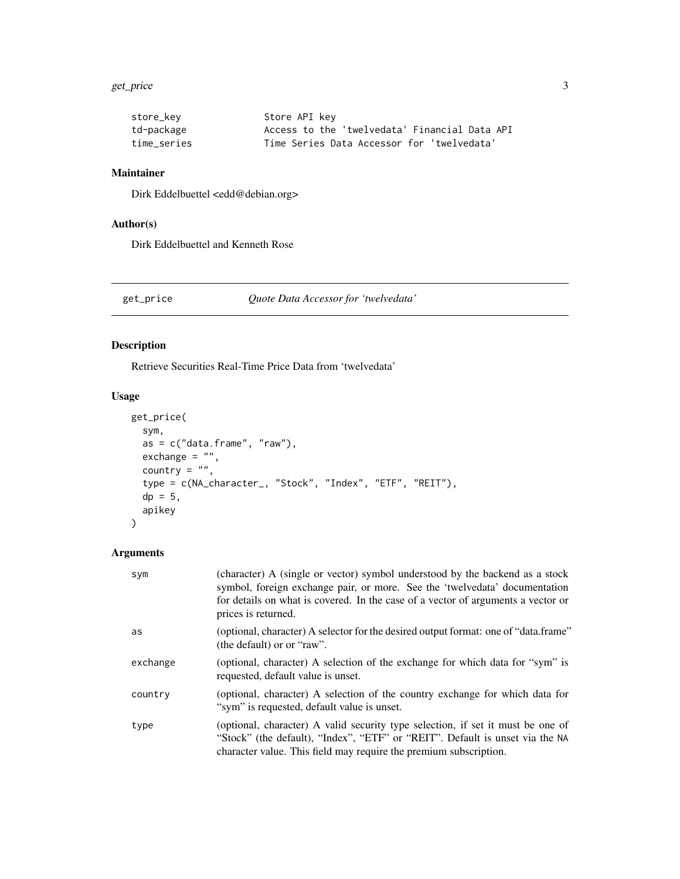#### <span id="page-2-0"></span>get\_price 3

| store_kev   | Store API key                                 |
|-------------|-----------------------------------------------|
| td-package  | Access to the 'twelvedata' Financial Data API |
| time series | Time Series Data Accessor for 'twelvedata'    |

#### Maintainer

Dirk Eddelbuettel <edd@debian.org>

# Author(s)

Dirk Eddelbuettel and Kenneth Rose

# get\_price *Quote Data Accessor for 'twelvedata'*

# Description

Retrieve Securities Real-Time Price Data from 'twelvedata'

# Usage

```
get_price(
  sym,
  as = c("data-frame", "raw"),exchange = "",
  country = ",
  type = c(NA_character_, "Stock", "Index", "ETF", "REIT"),
 dp = 5,
  apikey
)
```
# Arguments

| sym      | (character) A (single or vector) symbol understood by the backend as a stock<br>symbol, foreign exchange pair, or more. See the 'twelvedata' documentation<br>for details on what is covered. In the case of a vector of arguments a vector or<br>prices is returned. |
|----------|-----------------------------------------------------------------------------------------------------------------------------------------------------------------------------------------------------------------------------------------------------------------------|
| as       | (optional, character) A selector for the desired output format: one of "data.frame"<br>(the default) or or "raw".                                                                                                                                                     |
| exchange | (optional, character) A selection of the exchange for which data for "sym" is<br>requested, default value is unset.                                                                                                                                                   |
| country  | (optional, character) A selection of the country exchange for which data for<br>"sym" is requested, default value is unset.                                                                                                                                           |
| type     | (optional, character) A valid security type selection, if set it must be one of<br>"Stock" (the default), "Index", "ETF" or "REIT". Default is unset via the NA<br>character value. This field may require the premium subscription.                                  |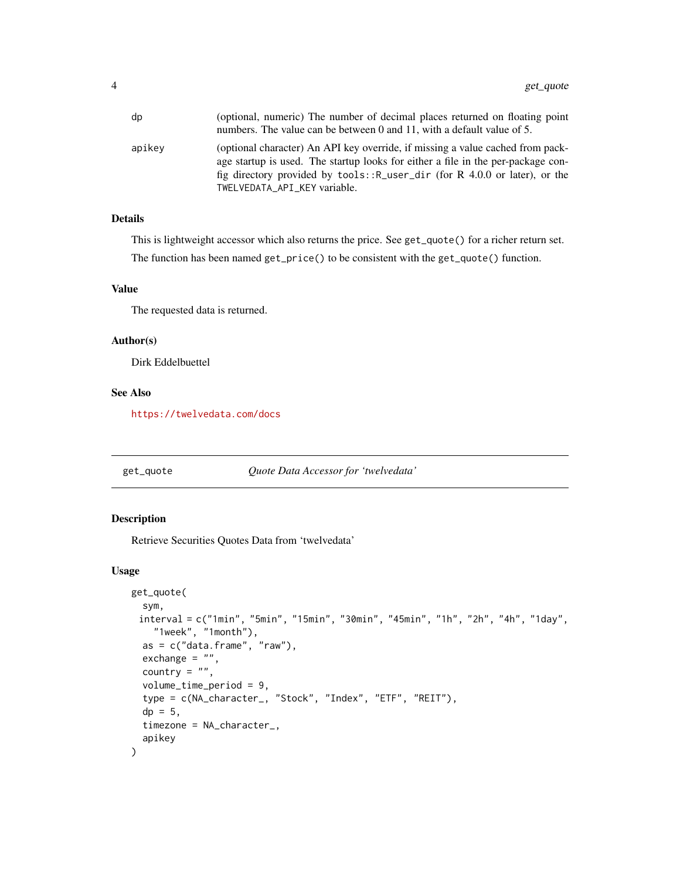<span id="page-3-0"></span>

| dp     | (optional, numeric) The number of decimal places returned on floating point<br>numbers. The value can be between 0 and 11, with a default value of 5.                                                                                                                             |
|--------|-----------------------------------------------------------------------------------------------------------------------------------------------------------------------------------------------------------------------------------------------------------------------------------|
| apikev | (optional character) An API key override, if missing a value cached from pack-<br>age startup is used. The startup looks for either a file in the per-package con-<br>fig directory provided by tools:: R_user_dir (for R 4.0.0 or later), or the<br>TWELVEDATA API KEY variable. |

# Details

This is lightweight accessor which also returns the price. See get\_quote() for a richer return set. The function has been named get\_price() to be consistent with the get\_quote() function.

# Value

The requested data is returned.

#### Author(s)

Dirk Eddelbuettel

# See Also

<https://twelvedata.com/docs>

get\_quote *Quote Data Accessor for 'twelvedata'*

# Description

Retrieve Securities Quotes Data from 'twelvedata'

#### Usage

```
get_quote(
  sym,
 interval = c("1min", "5min", "15min", "30min", "45min", "1h", "2h", "4h", "1day",
    "1week", "1month"),
  as = c("data-frame", "raw"),exchange = ",
 country = ",
  volume_time_period = 9,
  type = c(NA_character_, "Stock", "Index", "ETF", "REIT"),
  dp = 5.
  timezone = NA_character_,
  apikey
)
```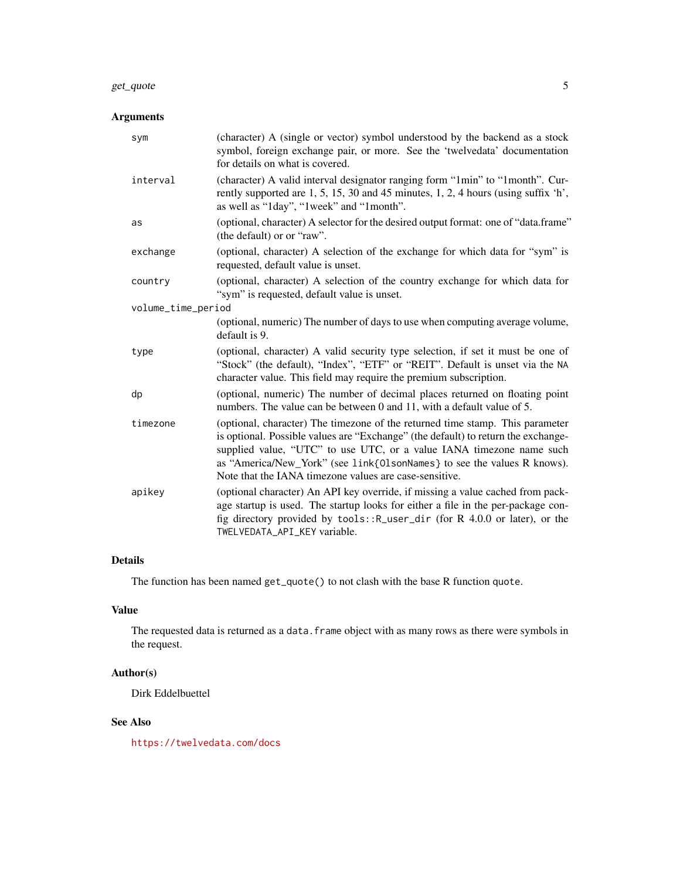#### get\_quote 5

# Arguments

| sym                | (character) A (single or vector) symbol understood by the backend as a stock<br>symbol, foreign exchange pair, or more. See the 'twelvedata' documentation<br>for details on what is covered.                                                                                                                                                                                   |
|--------------------|---------------------------------------------------------------------------------------------------------------------------------------------------------------------------------------------------------------------------------------------------------------------------------------------------------------------------------------------------------------------------------|
| interval           | (character) A valid interval designator ranging form "1min" to "1month". Cur-<br>rently supported are 1, 5, 15, 30 and 45 minutes, 1, 2, 4 hours (using suffix 'h',<br>as well as "1day", "1week" and "1month".                                                                                                                                                                 |
| as                 | (optional, character) A selector for the desired output format: one of "data.frame"<br>(the default) or or "raw".                                                                                                                                                                                                                                                               |
| exchange           | (optional, character) A selection of the exchange for which data for "sym" is<br>requested, default value is unset.                                                                                                                                                                                                                                                             |
| country            | (optional, character) A selection of the country exchange for which data for<br>"sym" is requested, default value is unset.                                                                                                                                                                                                                                                     |
| volume_time_period |                                                                                                                                                                                                                                                                                                                                                                                 |
|                    | (optional, numeric) The number of days to use when computing average volume,<br>default is 9.                                                                                                                                                                                                                                                                                   |
| type               | (optional, character) A valid security type selection, if set it must be one of<br>"Stock" (the default), "Index", "ETF" or "REIT". Default is unset via the NA<br>character value. This field may require the premium subscription.                                                                                                                                            |
| dp                 | (optional, numeric) The number of decimal places returned on floating point<br>numbers. The value can be between 0 and 11, with a default value of 5.                                                                                                                                                                                                                           |
| timezone           | (optional, character) The timezone of the returned time stamp. This parameter<br>is optional. Possible values are "Exchange" (the default) to return the exchange-<br>supplied value, "UTC" to use UTC, or a value IANA timezone name such<br>as "America/New_York" (see link{0lsonNames} to see the values R knows).<br>Note that the IANA timezone values are case-sensitive. |
| apikey             | (optional character) An API key override, if missing a value cached from pack-<br>age startup is used. The startup looks for either a file in the per-package con-<br>fig directory provided by tools:: R_user_dir (for R 4.0.0 or later), or the<br>TWELVEDATA_API_KEY variable.                                                                                               |

# Details

The function has been named get\_quote() to not clash with the base R function quote.

# Value

The requested data is returned as a data. frame object with as many rows as there were symbols in the request.

# Author(s)

Dirk Eddelbuettel

# See Also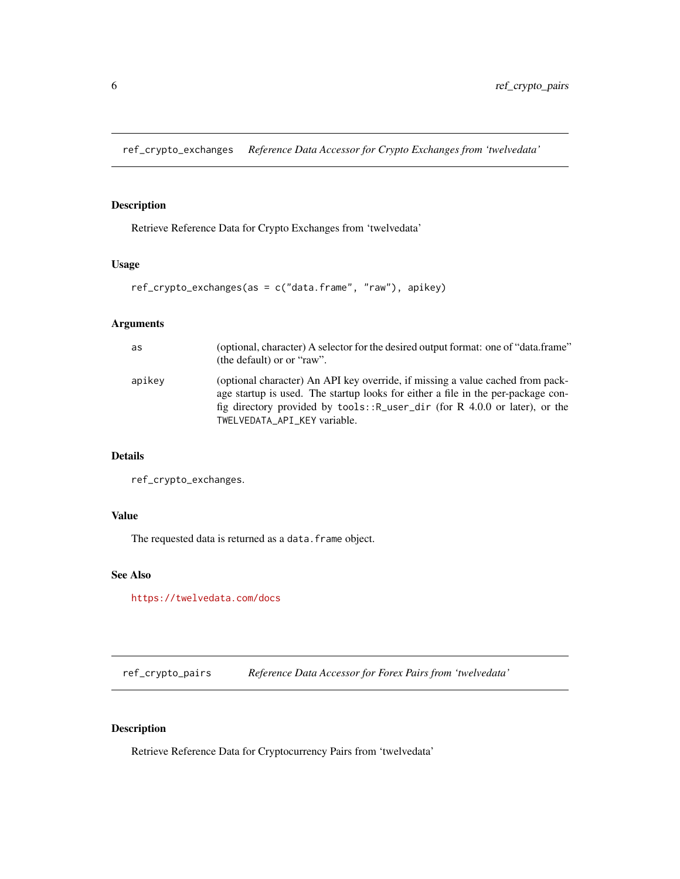<span id="page-5-0"></span>ref\_crypto\_exchanges *Reference Data Accessor for Crypto Exchanges from 'twelvedata'*

# Description

Retrieve Reference Data for Crypto Exchanges from 'twelvedata'

#### Usage

ref\_crypto\_exchanges(as = c("data.frame", "raw"), apikey)

# Arguments

| as     | (optional, character) A selector for the desired output format: one of "data.frame"<br>(the default) or or "raw".                                                                                                                                                                   |
|--------|-------------------------------------------------------------------------------------------------------------------------------------------------------------------------------------------------------------------------------------------------------------------------------------|
| apikey | (optional character) An API key override, if missing a value cached from pack-<br>age startup is used. The startup looks for either a file in the per-package con-<br>fig directory provided by $tools::R_user\_dir$ (for R 4.0.0 or later), or the<br>TWELVEDATA API KEY variable. |

#### Details

ref\_crypto\_exchanges.

#### Value

The requested data is returned as a data.frame object.

# See Also

<https://twelvedata.com/docs>

ref\_crypto\_pairs *Reference Data Accessor for Forex Pairs from 'twelvedata'*

# Description

Retrieve Reference Data for Cryptocurrency Pairs from 'twelvedata'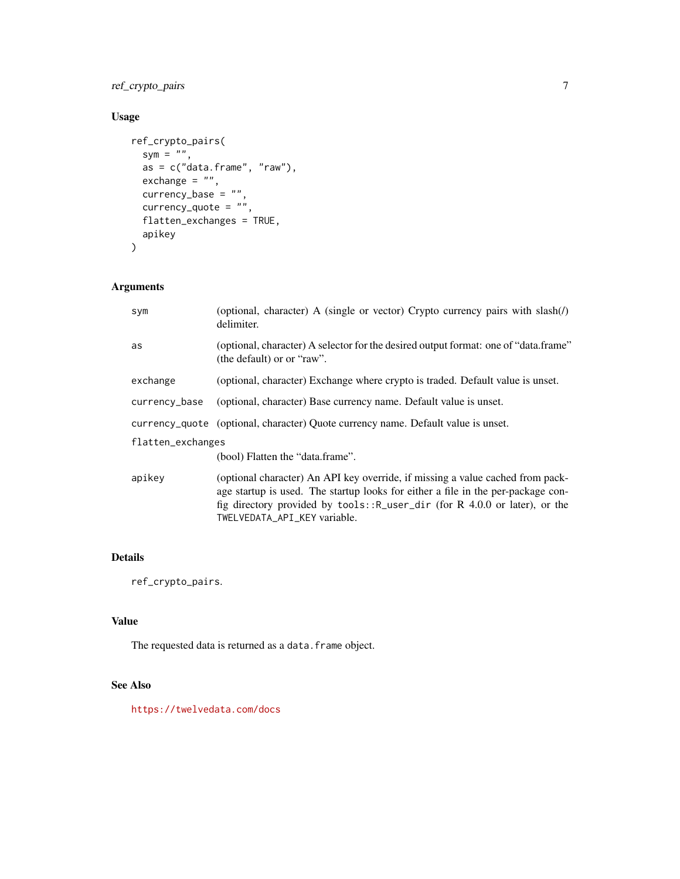# ref\_crypto\_pairs 7

# Usage

```
ref_crypto_pairs(
  sym = ",
  as = c("data-frame", "raw"),exchange = ",
  currency_base = "",
  currency_quote = \frac{m}{n},
  flatten_exchanges = TRUE,
  apikey
\mathcal{L}
```
# Arguments

| sym               | (optional, character) A (single or vector) Crypto currency pairs with $slash()$<br>delimiter.                                                                                                                                                                                          |
|-------------------|----------------------------------------------------------------------------------------------------------------------------------------------------------------------------------------------------------------------------------------------------------------------------------------|
| as                | (optional, character) A selector for the desired output format: one of "data.frame"<br>(the default) or or "raw".                                                                                                                                                                      |
| exchange          | (optional, character) Exchange where crypto is traded. Default value is unset.                                                                                                                                                                                                         |
| currency_base     | (optional, character) Base currency name. Default value is unset.                                                                                                                                                                                                                      |
|                   | currency_quote (optional, character) Quote currency name. Default value is unset.                                                                                                                                                                                                      |
| flatten_exchanges |                                                                                                                                                                                                                                                                                        |
|                   | (bool) Flatten the "data.frame".                                                                                                                                                                                                                                                       |
| apikev            | (optional character) An API key override, if missing a value cached from pack-<br>age startup is used. The startup looks for either a file in the per-package con-<br>fig directory provided by $tools$ : $R_$ user_dir (for R 4.0.0 or later), or the<br>TWELVEDATA_API_KEY variable. |

# Details

ref\_crypto\_pairs.

# Value

The requested data is returned as a data.frame object.

# See Also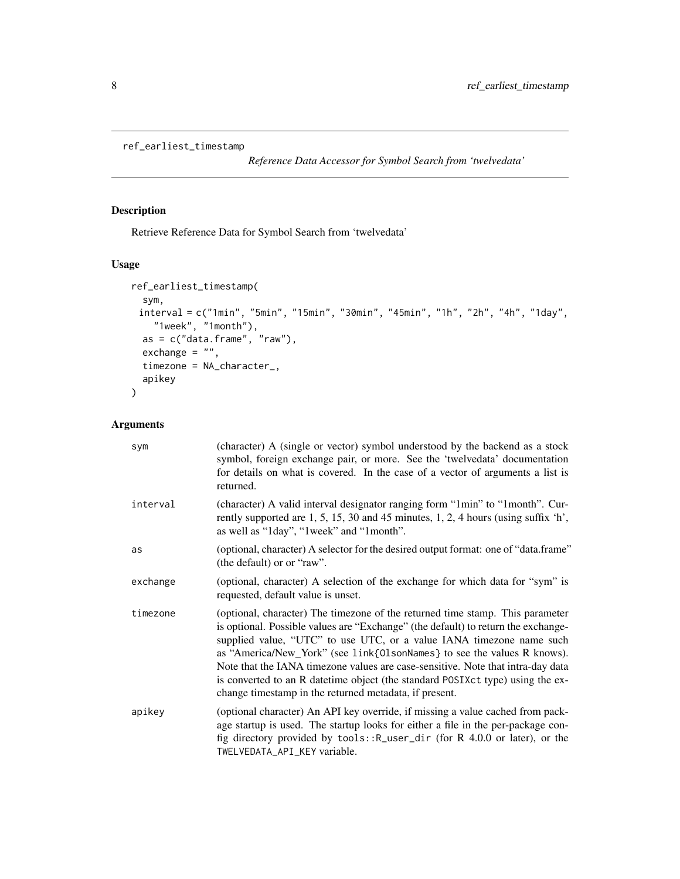```
ref_earliest_timestamp
```
*Reference Data Accessor for Symbol Search from 'twelvedata'*

# Description

Retrieve Reference Data for Symbol Search from 'twelvedata'

#### Usage

```
ref_earliest_timestamp(
 sym,
 interval = c("1min", "5min", "15min", "30min", "45min", "1h", "2h", "4h", "1day",
    "1week", "1month"),
 as = c("data-frame", "raw"),exchange = "",
 timezone = NA_character_,
 apikey
)
```
# Arguments

| sym      | (character) A (single or vector) symbol understood by the backend as a stock<br>symbol, foreign exchange pair, or more. See the 'twelvedata' documentation<br>for details on what is covered. In the case of a vector of arguments a list is<br>returned.                                                                                                                                                                                                                                                                                             |
|----------|-------------------------------------------------------------------------------------------------------------------------------------------------------------------------------------------------------------------------------------------------------------------------------------------------------------------------------------------------------------------------------------------------------------------------------------------------------------------------------------------------------------------------------------------------------|
| interval | (character) A valid interval designator ranging form "1min" to "1month". Cur-<br>rently supported are 1, 5, 15, 30 and 45 minutes, 1, 2, 4 hours (using suffix 'h',<br>as well as "1day", "1week" and "1month".                                                                                                                                                                                                                                                                                                                                       |
| as       | (optional, character) A selector for the desired output format: one of "data.frame"<br>(the default) or or "raw".                                                                                                                                                                                                                                                                                                                                                                                                                                     |
| exchange | (optional, character) A selection of the exchange for which data for "sym" is<br>requested, default value is unset.                                                                                                                                                                                                                                                                                                                                                                                                                                   |
| timezone | (optional, character) The timezone of the returned time stamp. This parameter<br>is optional. Possible values are "Exchange" (the default) to return the exchange-<br>supplied value, "UTC" to use UTC, or a value IANA timezone name such<br>as "America/New_York" (see link{0lsonNames} to see the values R knows).<br>Note that the IANA timezone values are case-sensitive. Note that intra-day data<br>is converted to an R date time object (the standard POSIXct type) using the ex-<br>change timestamp in the returned metadata, if present. |
| apikey   | (optional character) An API key override, if missing a value cached from pack-<br>age startup is used. The startup looks for either a file in the per-package con-<br>fig directory provided by tools:: R_user_dir (for R 4.0.0 or later), or the<br>TWELVEDATA_API_KEY variable.                                                                                                                                                                                                                                                                     |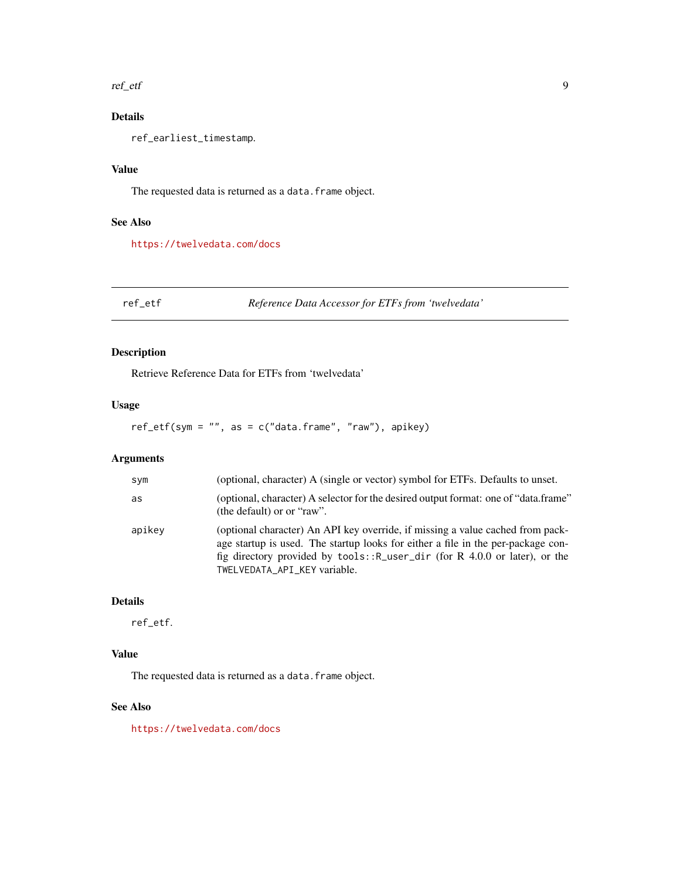<span id="page-8-0"></span>ref\_etf 9

# Details

ref\_earliest\_timestamp.

#### Value

The requested data is returned as a data. frame object.

#### See Also

<https://twelvedata.com/docs>

ref\_etf *Reference Data Accessor for ETFs from 'twelvedata'*

# Description

Retrieve Reference Data for ETFs from 'twelvedata'

## Usage

 $ref\_etf(sym = "", as = c("data-frame", "raw"), apikey)$ 

# Arguments

| sym    | (optional, character) A (single or vector) symbol for ETFs. Defaults to unset.                                                                                                                                                                                                      |
|--------|-------------------------------------------------------------------------------------------------------------------------------------------------------------------------------------------------------------------------------------------------------------------------------------|
| as     | (optional, character) A selector for the desired output format: one of "data.frame"<br>(the default) or or "raw".                                                                                                                                                                   |
| apikey | (optional character) An API key override, if missing a value cached from pack-<br>age startup is used. The startup looks for either a file in the per-package con-<br>fig directory provided by $tools::R_user\_dir$ (for R 4.0.0 or later), or the<br>TWELVEDATA_API_KEY variable. |

#### Details

ref\_etf.

# Value

The requested data is returned as a data.frame object.

#### See Also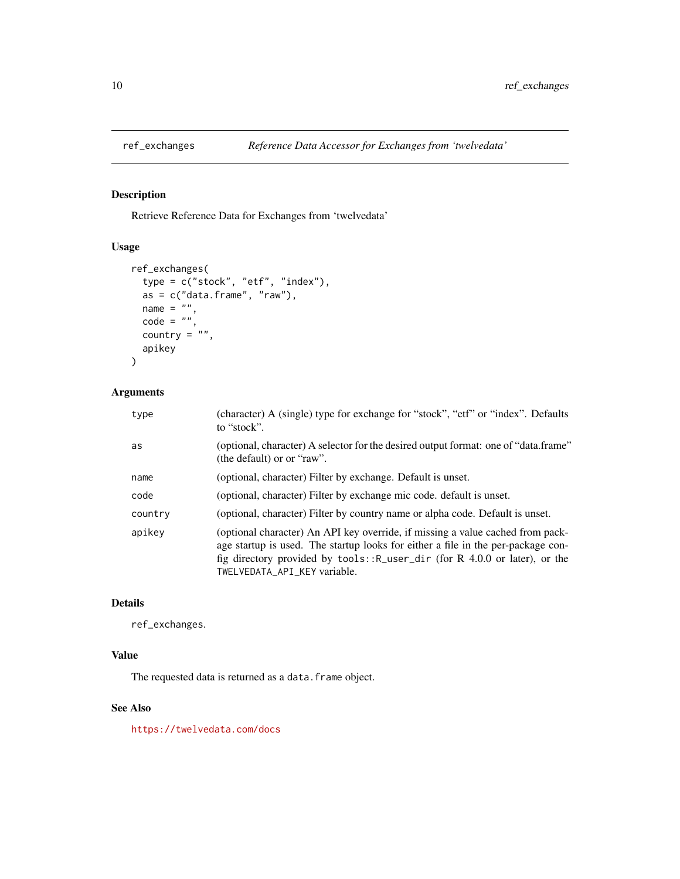<span id="page-9-0"></span>

Retrieve Reference Data for Exchanges from 'twelvedata'

### Usage

```
ref_exchanges(
  type = c("stock", "etf", "index"),
  as = c("data-frame", "raw"),name = ",
 code = "",country = ",
  apikey
\mathcal{L}
```
# Arguments

| type    | (character) A (single) type for exchange for "stock", "etf" or "index". Defaults<br>to "stock".                                                                                                                                                                                   |
|---------|-----------------------------------------------------------------------------------------------------------------------------------------------------------------------------------------------------------------------------------------------------------------------------------|
| as      | (optional, character) A selector for the desired output format: one of "data.frame"<br>(the default) or or "raw".                                                                                                                                                                 |
| name    | (optional, character) Filter by exchange. Default is unset.                                                                                                                                                                                                                       |
| code    | (optional, character) Filter by exchange mic code. default is unset.                                                                                                                                                                                                              |
| country | (optional, character) Filter by country name or alpha code. Default is unset.                                                                                                                                                                                                     |
| apikey  | (optional character) An API key override, if missing a value cached from pack-<br>age startup is used. The startup looks for either a file in the per-package con-<br>fig directory provided by tools:: R_user_dir (for R 4.0.0 or later), or the<br>TWELVEDATA_API_KEY variable. |

#### Details

ref\_exchanges.

# Value

The requested data is returned as a data. frame object.

# See Also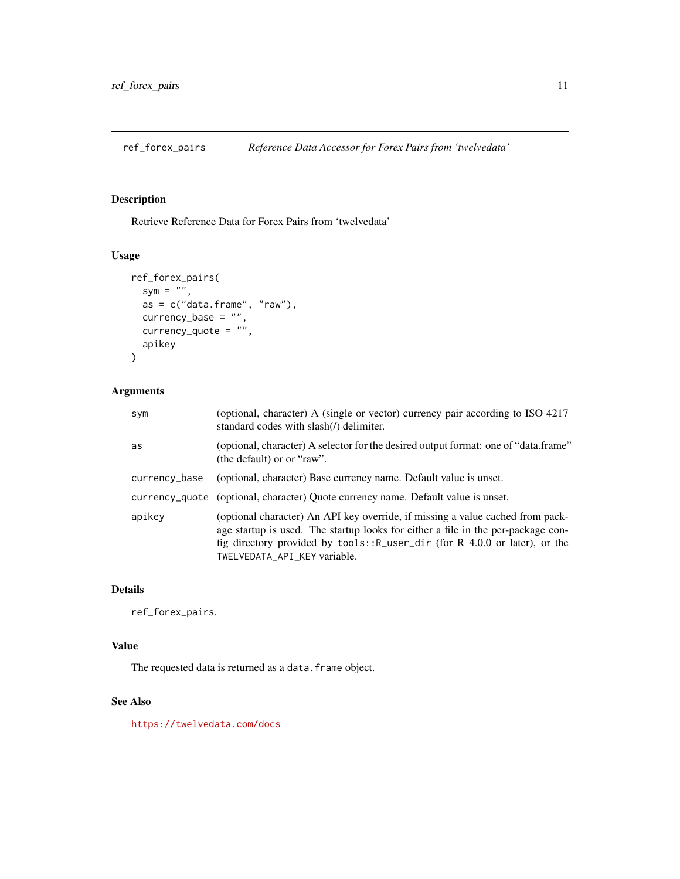<span id="page-10-0"></span>

Retrieve Reference Data for Forex Pairs from 'twelvedata'

# Usage

```
ref_forex_pairs(
 sym = ",
 as = c("data-frame", "raw"),currency_base = ",
 currency_quote = "",apikey
)
```
# Arguments

| sym           | (optional, character) A (single or vector) currency pair according to ISO 4217<br>standard codes with slash(/) delimiter.                                                                                                                                                           |
|---------------|-------------------------------------------------------------------------------------------------------------------------------------------------------------------------------------------------------------------------------------------------------------------------------------|
| as            | (optional, character) A selector for the desired output format: one of "data.frame"<br>(the default) or or "raw".                                                                                                                                                                   |
| currency_base | (optional, character) Base currency name. Default value is unset.                                                                                                                                                                                                                   |
|               | currency_quote (optional, character) Quote currency name. Default value is unset.                                                                                                                                                                                                   |
| apikev        | (optional character) An API key override, if missing a value cached from pack-<br>age startup is used. The startup looks for either a file in the per-package con-<br>fig directory provided by $tools::R_user\_dir$ (for R 4.0.0 or later), or the<br>TWELVEDATA_API_KEY variable. |

# Details

ref\_forex\_pairs.

# Value

The requested data is returned as a data.frame object.

#### See Also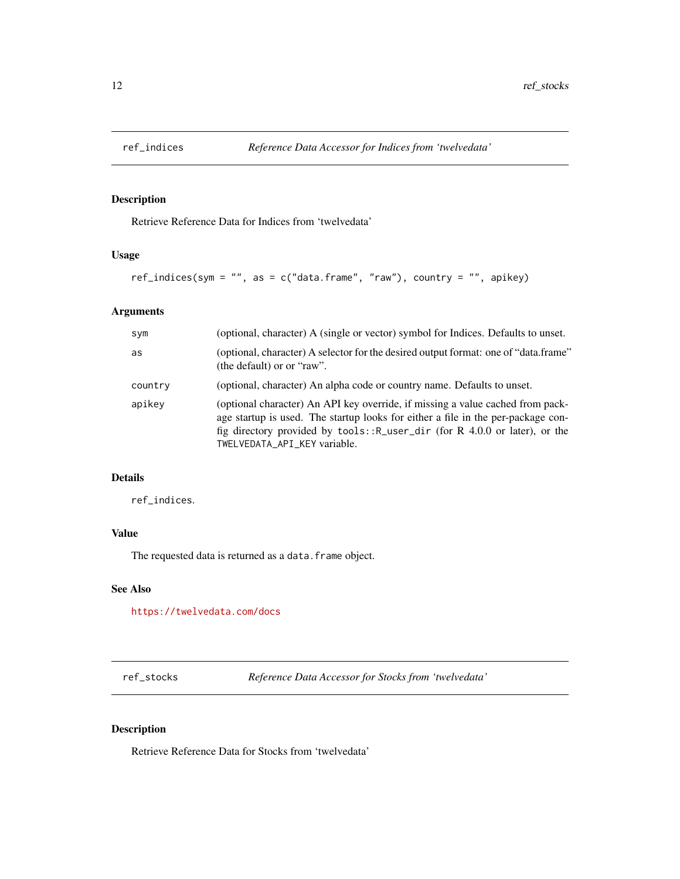<span id="page-11-0"></span>

Retrieve Reference Data for Indices from 'twelvedata'

# Usage

ref\_indices(sym = "", as = c("data.frame", "raw"), country = "", apikey)

# Arguments

| sym     | (optional, character) A (single or vector) symbol for Indices. Defaults to unset.                                                                                                                                                                                                   |
|---------|-------------------------------------------------------------------------------------------------------------------------------------------------------------------------------------------------------------------------------------------------------------------------------------|
| as      | (optional, character) A selector for the desired output format: one of "data.frame"<br>(the default) or or "raw".                                                                                                                                                                   |
| country | (optional, character) An alpha code or country name. Defaults to unset.                                                                                                                                                                                                             |
| apikey  | (optional character) An API key override, if missing a value cached from pack-<br>age startup is used. The startup looks for either a file in the per-package con-<br>fig directory provided by $tools::R_user\_dir$ (for R 4.0.0 or later), or the<br>TWELVEDATA_API_KEY variable. |

# Details

ref\_indices.

# Value

The requested data is returned as a data. frame object.

#### See Also

<https://twelvedata.com/docs>

ref\_stocks *Reference Data Accessor for Stocks from 'twelvedata'*

## Description

Retrieve Reference Data for Stocks from 'twelvedata'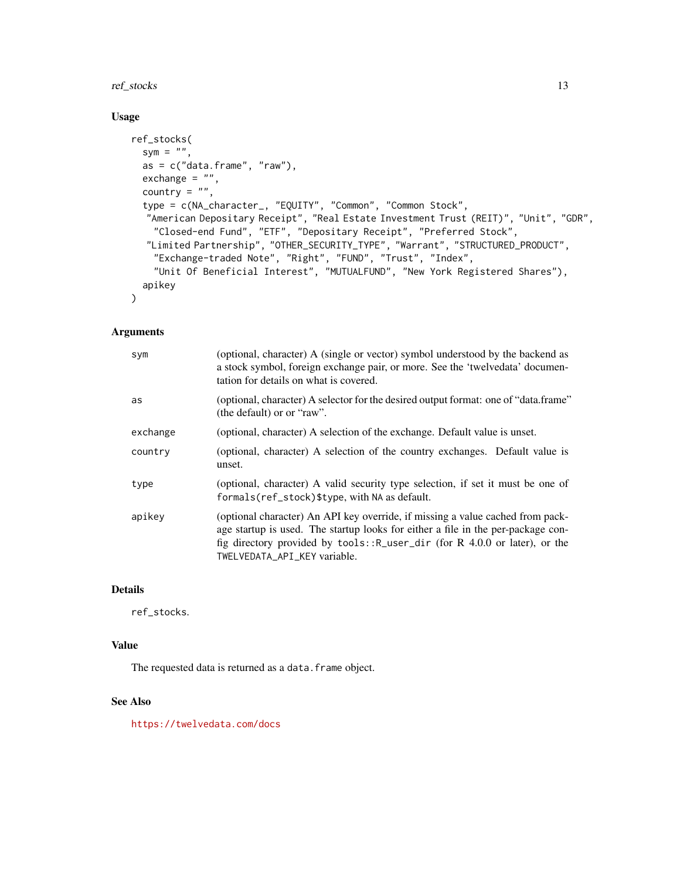# ref\_stocks 13

# Usage

```
ref_stocks(
 sym = ",
  as = c("data-frame", "raw"),exchange = ",
  country = ",
  type = c(NA_character_, "EQUITY", "Common", "Common Stock",
  "American Depositary Receipt", "Real Estate Investment Trust (REIT)", "Unit", "GDR",
   "Closed-end Fund", "ETF", "Depositary Receipt", "Preferred Stock",
  "Limited Partnership", "OTHER_SECURITY_TYPE", "Warrant", "STRUCTURED_PRODUCT",
    "Exchange-traded Note", "Right", "FUND", "Trust", "Index",
    "Unit Of Beneficial Interest", "MUTUALFUND", "New York Registered Shares"),
 apikey
)
```
#### Arguments

| sym      | (optional, character) A (single or vector) symbol understood by the backend as<br>a stock symbol, foreign exchange pair, or more. See the 'twelvedata' documen-<br>tation for details on what is covered.                                                                              |
|----------|----------------------------------------------------------------------------------------------------------------------------------------------------------------------------------------------------------------------------------------------------------------------------------------|
| as       | (optional, character) A selector for the desired output format: one of "data.frame"<br>(the default) or or "raw".                                                                                                                                                                      |
| exchange | (optional, character) A selection of the exchange. Default value is unset.                                                                                                                                                                                                             |
| country  | (optional, character) A selection of the country exchanges. Default value is<br>unset.                                                                                                                                                                                                 |
| type     | (optional, character) A valid security type selection, if set it must be one of<br>formals(ref_stock)\$type, with NA as default.                                                                                                                                                       |
| apikey   | (optional character) An API key override, if missing a value cached from pack-<br>age startup is used. The startup looks for either a file in the per-package con-<br>fig directory provided by $tools$ : $R_$ user_dir (for R 4.0.0 or later), or the<br>TWELVEDATA_API_KEY variable. |

### Details

ref\_stocks.

# Value

The requested data is returned as a data.frame object.

## See Also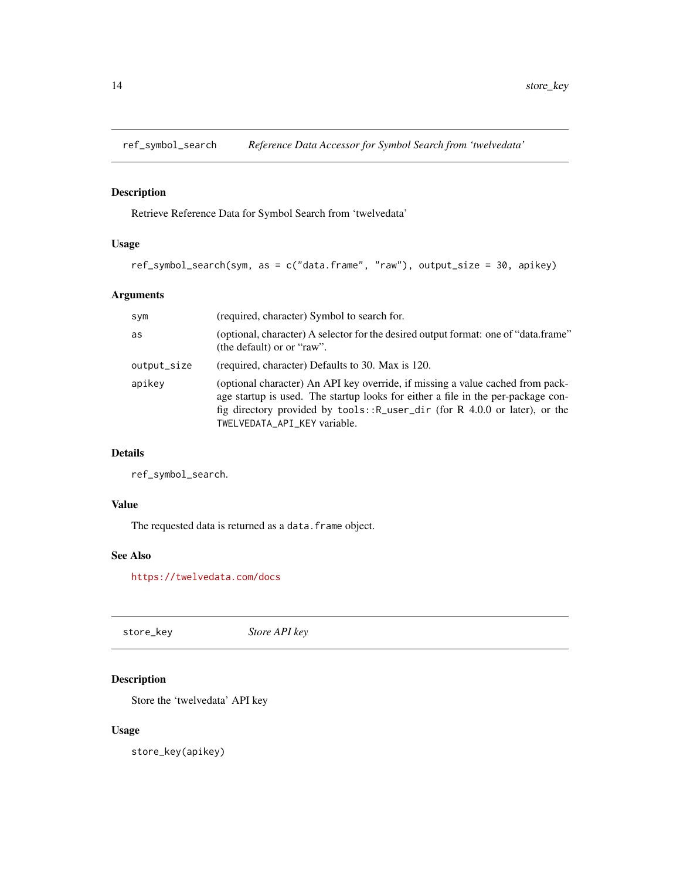<span id="page-13-0"></span>

Retrieve Reference Data for Symbol Search from 'twelvedata'

# Usage

```
ref_symbol_search(sym, as = c("data.frame", "raw"), output_size = 30, apikey)
```
# Arguments

| sym         | (required, character) Symbol to search for.                                                                                                                                                                                                                                       |
|-------------|-----------------------------------------------------------------------------------------------------------------------------------------------------------------------------------------------------------------------------------------------------------------------------------|
| as          | (optional, character) A selector for the desired output format: one of "data.frame"<br>(the default) or or "raw".                                                                                                                                                                 |
| output_size | (required, character) Defaults to 30. Max is 120.                                                                                                                                                                                                                                 |
| apikey      | (optional character) An API key override, if missing a value cached from pack-<br>age startup is used. The startup looks for either a file in the per-package con-<br>fig directory provided by tools:: R_user_dir (for R 4.0.0 or later), or the<br>TWELVEDATA_API_KEY variable. |

# Details

ref\_symbol\_search.

# Value

The requested data is returned as a data. frame object.

# See Also

<https://twelvedata.com/docs>

store\_key *Store API key*

# Description

Store the 'twelvedata' API key

# Usage

store\_key(apikey)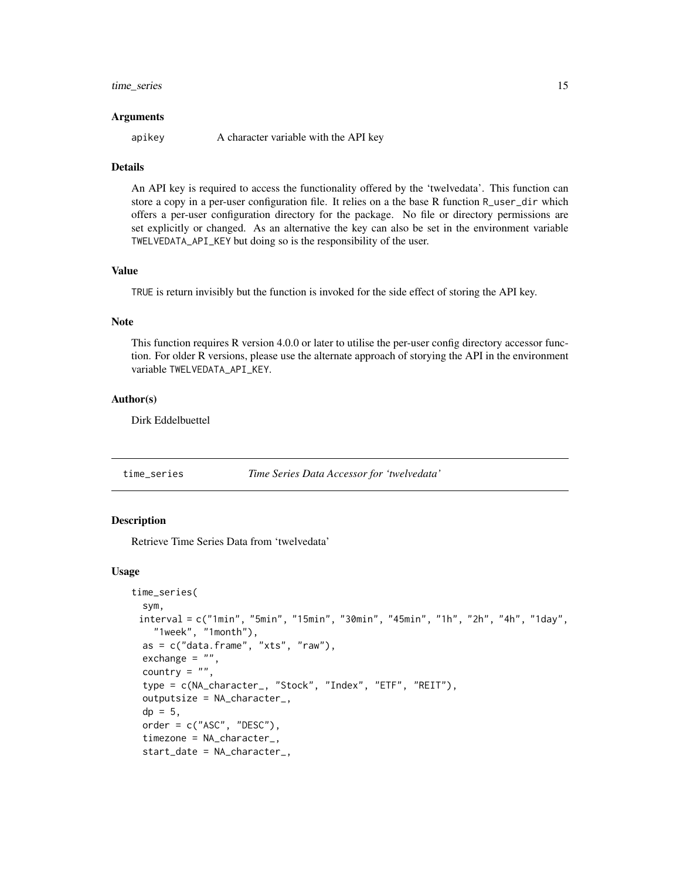#### <span id="page-14-0"></span>time\_series 15

#### Arguments

apikey A character variable with the API key

#### Details

An API key is required to access the functionality offered by the 'twelvedata'. This function can store a copy in a per-user configuration file. It relies on a the base R function R\_user\_dir which offers a per-user configuration directory for the package. No file or directory permissions are set explicitly or changed. As an alternative the key can also be set in the environment variable TWELVEDATA\_API\_KEY but doing so is the responsibility of the user.

#### Value

TRUE is return invisibly but the function is invoked for the side effect of storing the API key.

#### Note

This function requires R version 4.0.0 or later to utilise the per-user config directory accessor function. For older R versions, please use the alternate approach of storying the API in the environment variable TWELVEDATA\_API\_KEY.

#### Author(s)

Dirk Eddelbuettel

time\_series *Time Series Data Accessor for 'twelvedata'*

#### **Description**

Retrieve Time Series Data from 'twelvedata'

#### Usage

```
time_series(
  sym,
 interval = c("1min", "5min", "15min", "30min", "45min", "1h", "2h", "4h", "1day",
    "1week", "1month"),
  as = c("data-frame", "xts", "raw"),exchange = "",
  country = ".
  type = c(NA_character_, "Stock", "Index", "ETF", "REIT"),
  outputsize = NA_character_,
  dp = 5,
  order = c("ASC", "DESC"),timezone = NA_character_,
  start_date = NA_character_,
```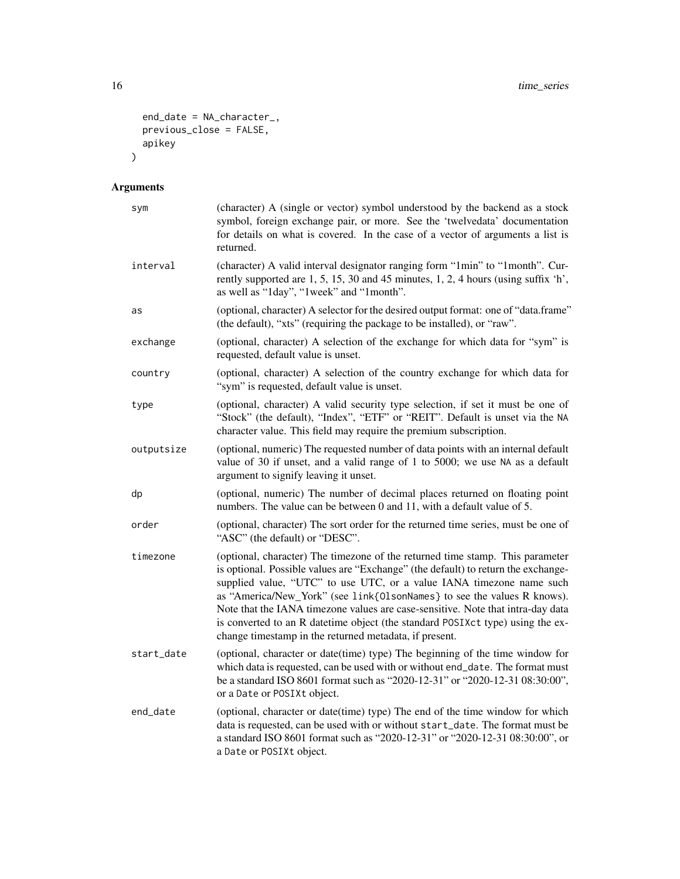```
end_date = NA_character_,
  previous_close = FALSE,
  .<br>apikey
\mathcal{L}
```
# Arguments

| sym        | (character) A (single or vector) symbol understood by the backend as a stock<br>symbol, foreign exchange pair, or more. See the 'twelvedata' documentation<br>for details on what is covered. In the case of a vector of arguments a list is<br>returned.                                                                                                                                                                                                                                                                                            |
|------------|------------------------------------------------------------------------------------------------------------------------------------------------------------------------------------------------------------------------------------------------------------------------------------------------------------------------------------------------------------------------------------------------------------------------------------------------------------------------------------------------------------------------------------------------------|
| interval   | (character) A valid interval designator ranging form "1min" to "1month". Cur-<br>rently supported are 1, 5, 15, 30 and 45 minutes, 1, 2, 4 hours (using suffix 'h',<br>as well as "1day", "1week" and "1month".                                                                                                                                                                                                                                                                                                                                      |
| as         | (optional, character) A selector for the desired output format: one of "data.frame"<br>(the default), "xts" (requiring the package to be installed), or "raw".                                                                                                                                                                                                                                                                                                                                                                                       |
| exchange   | (optional, character) A selection of the exchange for which data for "sym" is<br>requested, default value is unset.                                                                                                                                                                                                                                                                                                                                                                                                                                  |
| country    | (optional, character) A selection of the country exchange for which data for<br>"sym" is requested, default value is unset.                                                                                                                                                                                                                                                                                                                                                                                                                          |
| type       | (optional, character) A valid security type selection, if set it must be one of<br>"Stock" (the default), "Index", "ETF" or "REIT". Default is unset via the NA<br>character value. This field may require the premium subscription.                                                                                                                                                                                                                                                                                                                 |
| outputsize | (optional, numeric) The requested number of data points with an internal default<br>value of 30 if unset, and a valid range of 1 to 5000; we use NA as a default<br>argument to signify leaving it unset.                                                                                                                                                                                                                                                                                                                                            |
| dp         | (optional, numeric) The number of decimal places returned on floating point<br>numbers. The value can be between 0 and 11, with a default value of 5.                                                                                                                                                                                                                                                                                                                                                                                                |
| order      | (optional, character) The sort order for the returned time series, must be one of<br>"ASC" (the default) or "DESC".                                                                                                                                                                                                                                                                                                                                                                                                                                  |
| timezone   | (optional, character) The timezone of the returned time stamp. This parameter<br>is optional. Possible values are "Exchange" (the default) to return the exchange-<br>supplied value, "UTC" to use UTC, or a value IANA timezone name such<br>as "America/New_York" (see link{0lsonNames} to see the values R knows).<br>Note that the IANA timezone values are case-sensitive. Note that intra-day data<br>is converted to an R datetime object (the standard POSIXct type) using the ex-<br>change timestamp in the returned metadata, if present. |
| start_date | (optional, character or date(time) type) The beginning of the time window for<br>which data is requested, can be used with or without end_date. The format must<br>be a standard ISO 8601 format such as "2020-12-31" or "2020-12-31 08:30:00",<br>or a Date or POSIXt object.                                                                                                                                                                                                                                                                       |
| end_date   | (optional, character or date(time) type) The end of the time window for which<br>data is requested, can be used with or without start_date. The format must be<br>a standard ISO 8601 format such as "2020-12-31" or "2020-12-31 08:30:00", or<br>a Date or POSIXt object.                                                                                                                                                                                                                                                                           |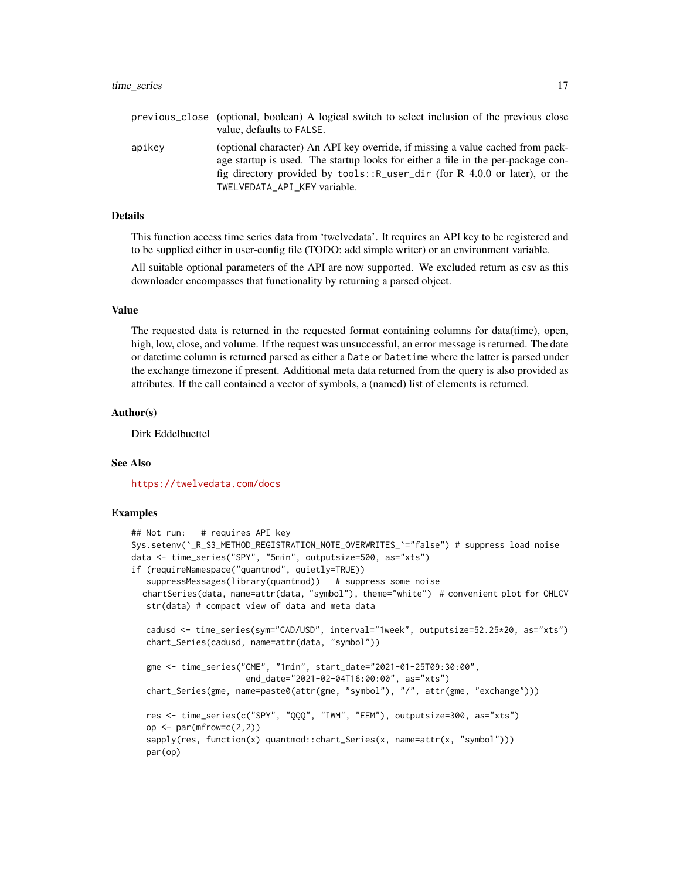|        | previous_close (optional, boolean) A logical switch to select inclusion of the previous close<br>value, defaults to FALSE.                                                                                                                                                        |
|--------|-----------------------------------------------------------------------------------------------------------------------------------------------------------------------------------------------------------------------------------------------------------------------------------|
| apikey | (optional character) An API key override, if missing a value cached from pack-<br>age startup is used. The startup looks for either a file in the per-package con-<br>fig directory provided by tools:: R_user_dir (for R 4.0.0 or later), or the<br>TWELVEDATA API KEY variable. |

#### Details

This function access time series data from 'twelvedata'. It requires an API key to be registered and to be supplied either in user-config file (TODO: add simple writer) or an environment variable.

All suitable optional parameters of the API are now supported. We excluded return as csv as this downloader encompasses that functionality by returning a parsed object.

#### Value

The requested data is returned in the requested format containing columns for data(time), open, high, low, close, and volume. If the request was unsuccessful, an error message is returned. The date or datetime column is returned parsed as either a Date or Datetime where the latter is parsed under the exchange timezone if present. Additional meta data returned from the query is also provided as attributes. If the call contained a vector of symbols, a (named) list of elements is returned.

#### Author(s)

Dirk Eddelbuettel

#### See Also

<https://twelvedata.com/docs>

#### Examples

```
## Not run: # requires API key
Sys.setenv(`_R_S3_METHOD_REGISTRATION_NOTE_OVERWRITES_`="false") # suppress load noise
data <- time_series("SPY", "5min", outputsize=500, as="xts")
if (requireNamespace("quantmod", quietly=TRUE))
   suppressMessages(library(quantmod)) # suppress some noise
  chartSeries(data, name=attr(data, "symbol"), theme="white") # convenient plot for OHLCV
   str(data) # compact view of data and meta data
  cadusd <- time_series(sym="CAD/USD", interval="1week", outputsize=52.25*20, as="xts")
  chart_Series(cadusd, name=attr(data, "symbol"))
   gme <- time_series("GME", "1min", start_date="2021-01-25T09:30:00",
                       end_date="2021-02-04T16:00:00", as="xts")
   chart_Series(gme, name=paste0(attr(gme, "symbol"), "/", attr(gme, "exchange")))
   res <- time_series(c("SPY", "QQQ", "IWM", "EEM"), outputsize=300, as="xts")
   op \leq par(mfrow=c(2,2))
   sapply(res, function(x) quantmod::chart_Series(x, name=attr(x, "symbol")))
  par(op)
```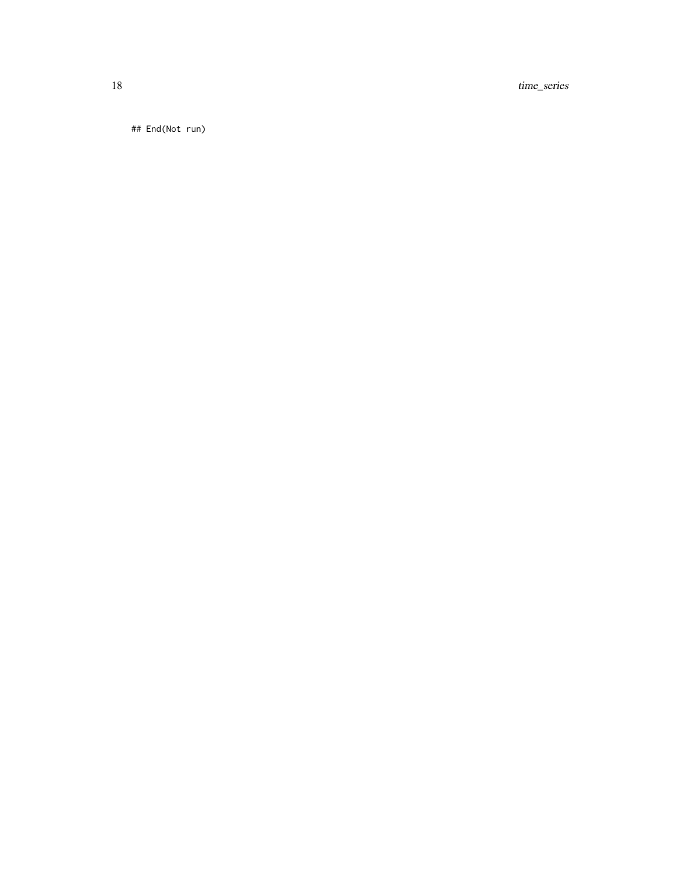18 time\_series

## End(Not run)